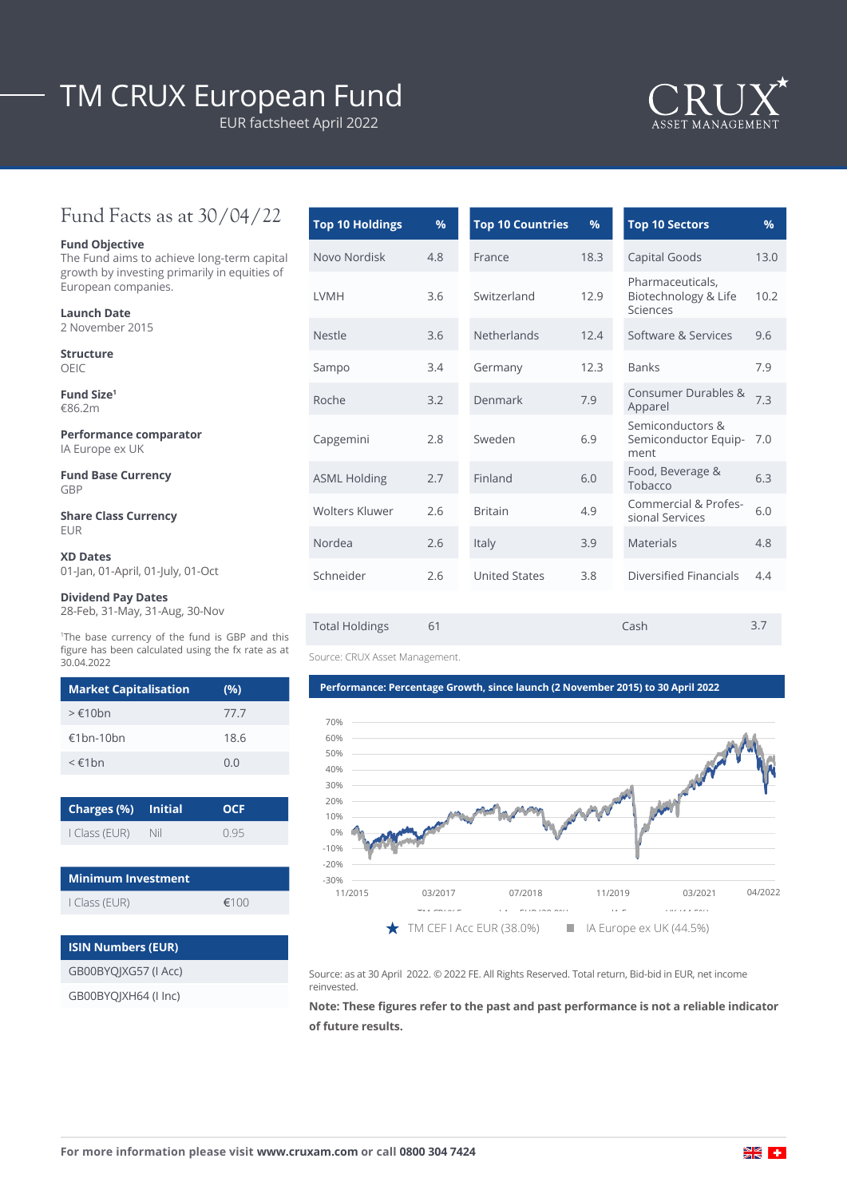# TM CRUX European Fund

EUR factsheet April 2022



## Fund Facts as at 30/04/22

### **Fund Objective**

The Fund aims to achieve long-term capital growth by investing primarily in equities of European companies.

| <b>Launch Date</b>                        |                   |
|-------------------------------------------|-------------------|
| 2 November 2015                           | <b>Nestle</b>     |
| <b>Structure</b><br>OEIC                  | Sampo             |
| Fund Size <sup>1</sup><br>€86.2m          | Roche             |
| Performance comparator<br>IA Europe ex UK | Capgen            |
| <b>Fund Base Currency</b><br>GBP          | ASML <sub>H</sub> |
| <b>Share Class Currency</b>               | Wolters           |

| Novo Nordisk          | 4.8 | France                     | 18.3 | Capital Goods                                        | 13.0 |
|-----------------------|-----|----------------------------|------|------------------------------------------------------|------|
| LVMH                  | 3.6 | Switzerland                | 12.9 | Pharmaceuticals,<br>Biotechnology & Life<br>Sciences | 10.2 |
| <b>Nestle</b>         | 3.6 | <b>Netherlands</b><br>12.4 |      | Software & Services                                  | 9.6  |
| Sampo                 | 3.4 | Germany                    | 12.3 | <b>Banks</b>                                         | 7.9  |
| Roche                 | 3.2 | Denmark                    | 7.9  | Consumer Durables &<br>Apparel                       | 7.3  |
| Capgemini             | 2.8 | Sweden                     | 6.9  | Semiconductors &<br>Semiconductor Equip-<br>ment     | 7.0  |
| <b>ASML Holding</b>   | 2.7 | Finland                    | 6.0  | Food, Beverage &<br>Tobacco                          | 6.3  |
| <b>Wolters Kluwer</b> | 2.6 | <b>Britain</b>             | 4.9  | Commercial & Profes-<br>sional Services              | 6.0  |
| Nordea                | 2.6 | Italy                      | 3.9  | <b>Materials</b>                                     | 4.8  |
| Schneider             | 2.6 | <b>United States</b>       | 3.8  | Diversified Financials                               | 4.4  |
|                       |     |                            |      |                                                      |      |
| <b>Total Holdings</b> | 61  |                            |      | Cash                                                 | 3.7  |

**Top 10 Holdings % Top 10 Countries % Top 10 Sectors %**

Source: CRUX Asset Management.

#### **Performance: Percentage Growth, since launch (2 November 2015) to 30 April 2022**



Source: as at 30 April 2022. © 2022 FE. All Rights Reserved. Total return, Bid-bid in EUR, net income reinvested.

**Note: These figures refer to the past and past performance is not a reliable indicator of future results.**

## EUR **XD Dates**

01-Jan, 01-April, 01-July, 01-Oct

### **Dividend Pay Dates**

28-Feb, 31-May, 31-Aug, 30-Nov

1 The base currency of the fund is GBP and this figure has been calculated using the fx rate as at 30.04.2022

| <b>Market Capitalisation</b> | (%)  |
|------------------------------|------|
| $>\epsilon$ 10bn             | 77.7 |
| $£1$ hn-10hn                 | 18.6 |
| $\leq \epsilon$ 1 $hn$       | 0.0  |

| Charges (%) Initial |     | <b>OCF</b> |  |  |
|---------------------|-----|------------|--|--|
| I Class (EUR)       | Nil | 095        |  |  |

| <b>Minimum Investment</b> |      |  |  |
|---------------------------|------|--|--|
| I Class (EUR)             | €100 |  |  |

| <b>ISIN Numbers (EUR)</b> |
|---------------------------|
| GB00BYOIXG57 (I Acc)      |
| GB00BYQJXH64 (I Inc)      |